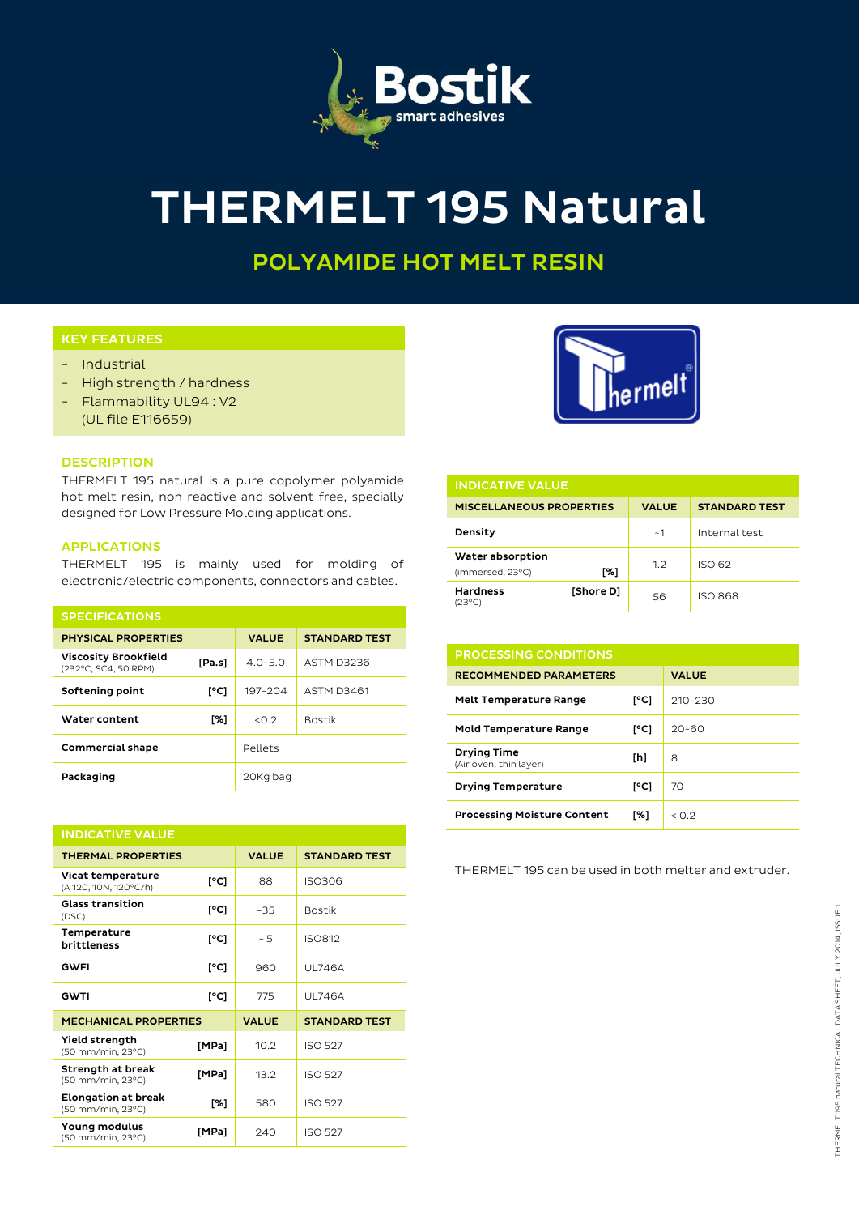

# THERMELT 195 Natural

## POLYAMIDE HOT MELT RESIN

### KEY FEATURES

- Industrial
- High strength / hardness
- Flammability UL94 : V2 (UL file E116659)

#### **DESCRIPTION**

THERMELT 195 natural is a pure copolymer polyamide hot melt resin, non reactive and solvent free, specially designed for Low Pressure Molding applications.

#### APPLICATIONS

THERMELT 195 is mainly used for molding of electronic/electric components, connectors and cables.

| <b>SPECIFICATIONS</b>                               |        |              |                      |  |  |  |
|-----------------------------------------------------|--------|--------------|----------------------|--|--|--|
| <b>PHYSICAL PROPERTIES</b>                          |        | <b>VALUE</b> | <b>STANDARD TEST</b> |  |  |  |
| <b>Viscosity Brookfield</b><br>(232°C, SC4, 50 RPM) | [Pa.s] | $4.0 - 5.0$  | ASTM D3236           |  |  |  |
| Softening point                                     | [°C]   | 197-204      | <b>ASTM D3461</b>    |  |  |  |
| Water content                                       | [%]    | < 0.2        | <b>Bostik</b>        |  |  |  |
| <b>Commercial shape</b>                             |        | Pellets      |                      |  |  |  |
| Packaging                                           |        | 20Kg bag     |                      |  |  |  |

| <b>INDICATIVE VALUE</b>                         |       |              |                      |  |  |
|-------------------------------------------------|-------|--------------|----------------------|--|--|
| <b>THERMAL PROPERTIES</b>                       |       | <b>VALUE</b> | <b>STANDARD TEST</b> |  |  |
| Vicat temperature<br>(A 120, 10N, 120°C/h)      | [°C]  | 88           | <b>ISO306</b>        |  |  |
| <b>Glass transition</b><br>(DSC)                | [°C]  | $-35$        | <b>Bostik</b>        |  |  |
| Temperature<br>brittleness                      | [°C]  | - 5          | <b>ISO812</b>        |  |  |
| <b>GWFI</b>                                     | [°C]  | 960          | <b>UL746A</b>        |  |  |
| <b>GWTI</b>                                     | [°C]  | 775          | <b>UL746A</b>        |  |  |
| <b>MECHANICAL PROPERTIES</b>                    |       | <b>VALUE</b> | <b>STANDARD TEST</b> |  |  |
| Yield strength<br>(50 mm/min, 23°C)             | [MPa] | 10.2         | <b>ISO 527</b>       |  |  |
| Strength at break<br>(50 mm/min, 23°C)          | [MPa] | 13.2         | <b>ISO 527</b>       |  |  |
| <b>Elongation at break</b><br>(50 mm/min, 23°C) | [%]   | 580          | <b>ISO 527</b>       |  |  |
| Young modulus<br>(50 mm/min, 23°C)              | [MPa] | 240          | <b>ISO 527</b>       |  |  |



| <b>INDICATIVE VALUE</b>                     |           |              |                      |  |  |
|---------------------------------------------|-----------|--------------|----------------------|--|--|
| <b>MISCELLANEOUS PROPERTIES</b>             |           | <b>VALUE</b> | <b>STANDARD TEST</b> |  |  |
| Density                                     |           | ~1           | Internal test        |  |  |
| Water absorption<br>[%]<br>(immersed, 23°C) |           | 1.2          | ISO 62               |  |  |
| <b>Hardness</b><br>(23°C)                   | [Shore D] | 56           | <b>ISO 868</b>       |  |  |

| <b>PROCESSING CONDITIONS</b>                 |      |              |  |
|----------------------------------------------|------|--------------|--|
| <b>RECOMMENDED PARAMETERS</b>                |      | <b>VALUE</b> |  |
| <b>Melt Temperature Range</b>                | [°C] | $210 - 230$  |  |
| <b>Mold Temperature Range</b>                | [°C] | $20 - 60$    |  |
| <b>Drying Time</b><br>(Air oven, thin layer) | [h]  | 8            |  |
| <b>Drying Temperature</b>                    | [°C] | 70           |  |
| <b>Processing Moisture Content</b>           | [%]  | < 0.2        |  |

THERMELT 195 can be used in both melter and extruder.